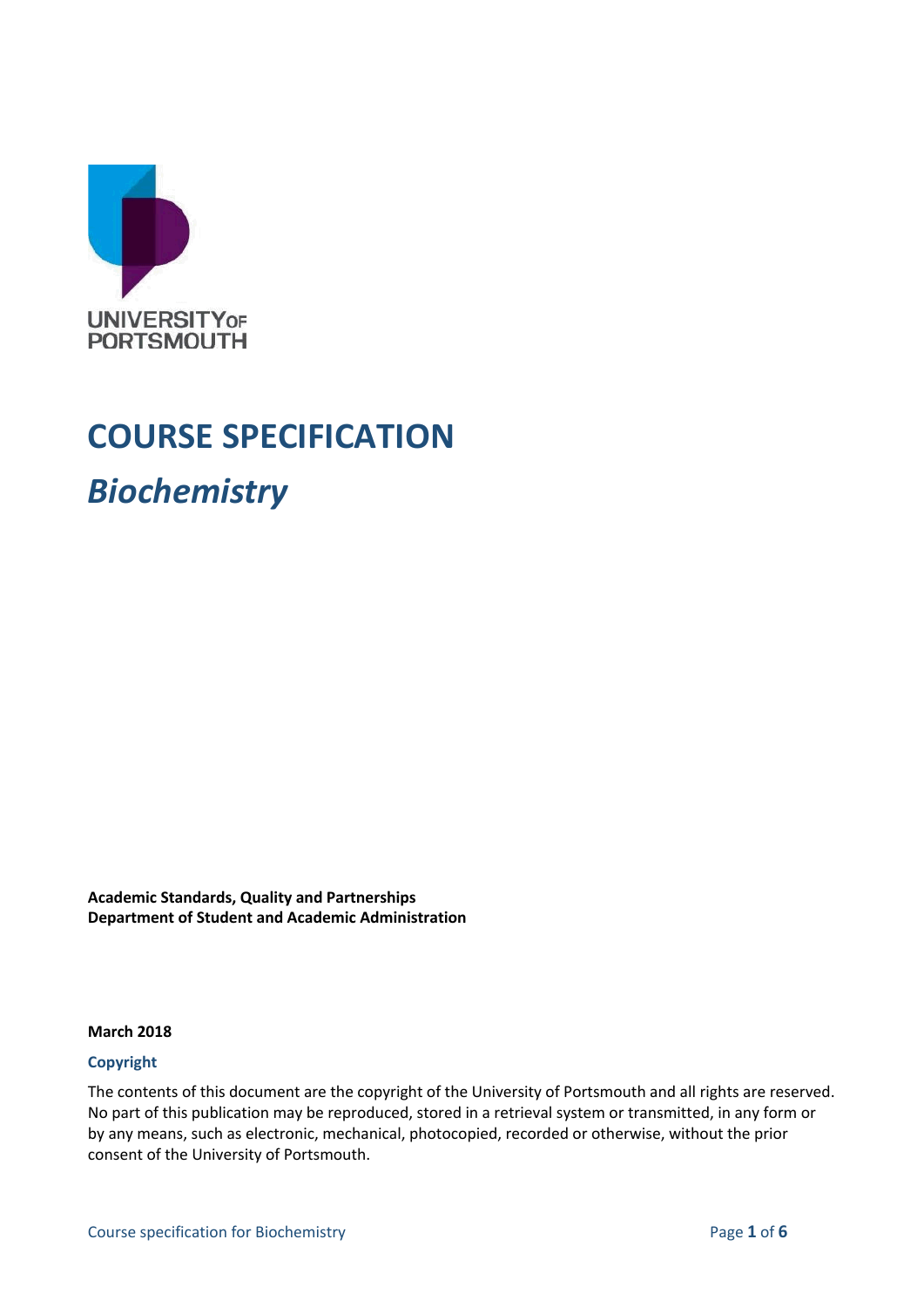

## **COURSE SPECIFICATION**

*Biochemistry*

**Academic Standards, Quality and Partnerships Department of Student and Academic Administration**

#### **March 2018**

#### **Copyright**

The contents of this document are the copyright of the University of Portsmouth and all rights are reserved. No part of this publication may be reproduced, stored in a retrieval system or transmitted, in any form or by any means, such as electronic, mechanical, photocopied, recorded or otherwise, without the prior consent of the University of Portsmouth.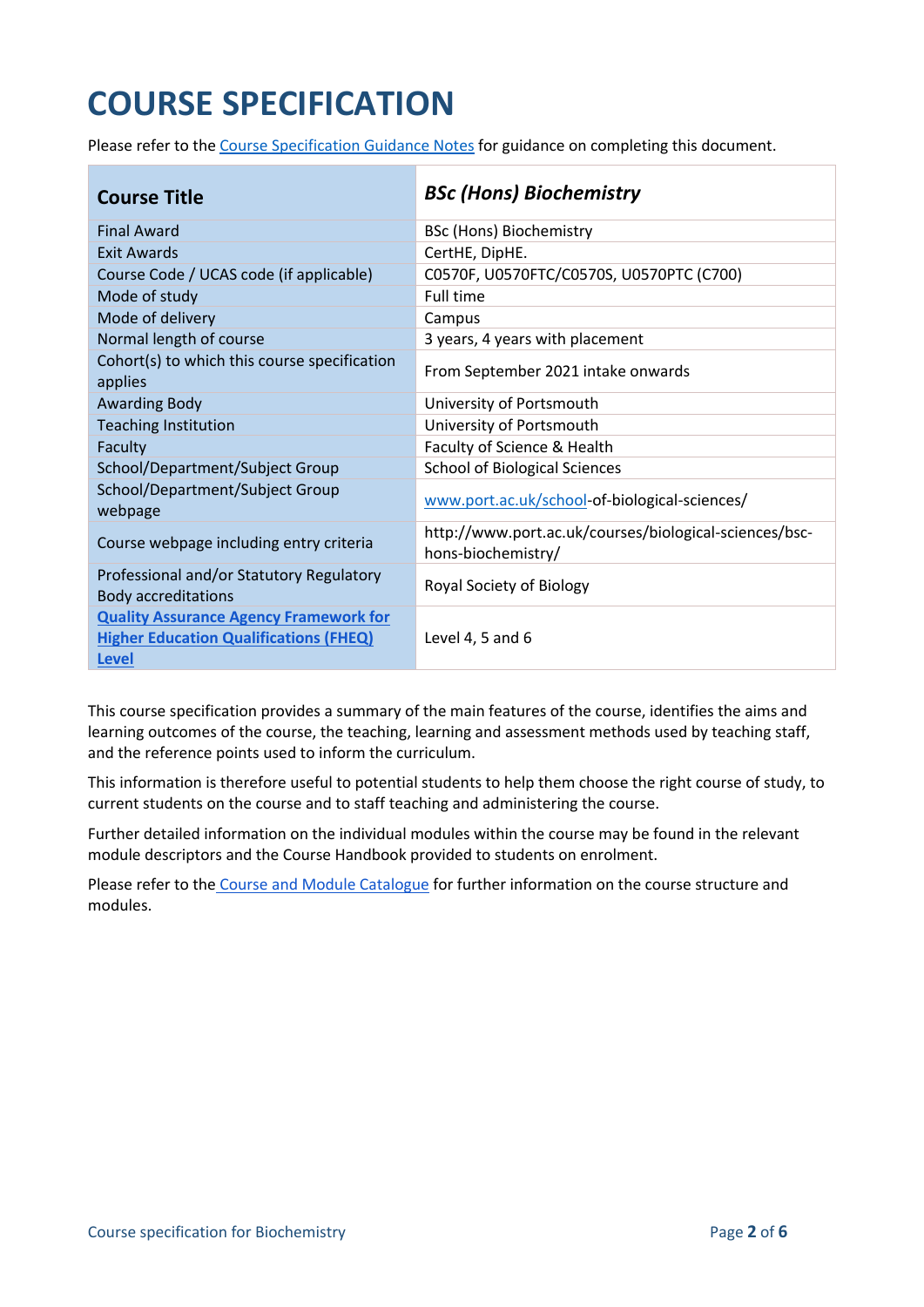# **COURSE SPECIFICATION**

Please refer to the [Course Specification Guidance Notes](http://www.port.ac.uk/departments/services/academicregistry/qmd/curriculum-framework-2019-20/filetodownload,201767,en.docx) for guidance on completing this document.

| <b>Course Title</b>                                                                                            | <b>BSc (Hons) Biochemistry</b>                                               |
|----------------------------------------------------------------------------------------------------------------|------------------------------------------------------------------------------|
| <b>Final Award</b>                                                                                             | BSc (Hons) Biochemistry                                                      |
| <b>Exit Awards</b>                                                                                             | CertHE, DipHE.                                                               |
| Course Code / UCAS code (if applicable)                                                                        | C0570F, U0570FTC/C0570S, U0570PTC (C700)                                     |
| Mode of study                                                                                                  | Full time                                                                    |
| Mode of delivery                                                                                               | Campus                                                                       |
| Normal length of course                                                                                        | 3 years, 4 years with placement                                              |
| Cohort(s) to which this course specification<br>applies                                                        | From September 2021 intake onwards                                           |
| <b>Awarding Body</b>                                                                                           | University of Portsmouth                                                     |
| <b>Teaching Institution</b>                                                                                    | University of Portsmouth                                                     |
| Faculty                                                                                                        | Faculty of Science & Health                                                  |
| School/Department/Subject Group                                                                                | <b>School of Biological Sciences</b>                                         |
| School/Department/Subject Group<br>webpage                                                                     | www.port.ac.uk/school-of-biological-sciences/                                |
| Course webpage including entry criteria                                                                        | http://www.port.ac.uk/courses/biological-sciences/bsc-<br>hons-biochemistry/ |
| Professional and/or Statutory Regulatory<br><b>Body accreditations</b>                                         | Royal Society of Biology                                                     |
| <b>Quality Assurance Agency Framework for</b><br><b>Higher Education Qualifications (FHEQ)</b><br><b>Level</b> | Level 4, 5 and 6                                                             |

This course specification provides a summary of the main features of the course, identifies the aims and learning outcomes of the course, the teaching, learning and assessment methods used by teaching staff, and the reference points used to inform the curriculum.

This information is therefore useful to potential students to help them choose the right course of study, to current students on the course and to staff teaching and administering the course.

Further detailed information on the individual modules within the course may be found in the relevant module descriptors and the Course Handbook provided to students on enrolment.

Please refer to the [Course and Module Catalogue](https://course-module-catalog.port.ac.uk/#/) for further information on the course structure and modules.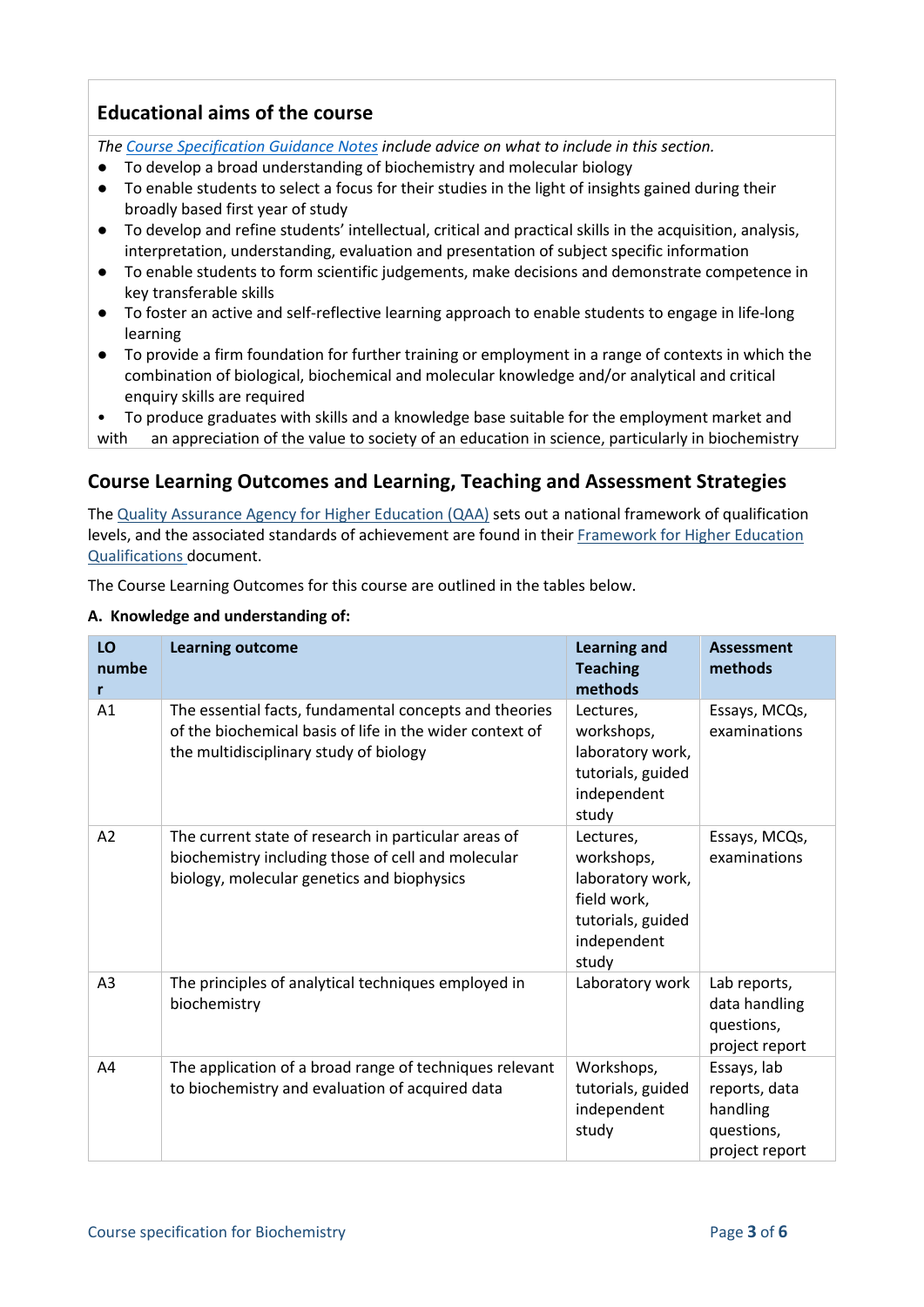## **Educational aims of the course**

*The [Course Specification Guidance Notes](http://www.port.ac.uk/departments/services/academicregistry/qmd/curriculum-framework-2019-20/filetodownload,201767,en.docx) include advice on what to include in this section.*

- To develop a broad understanding of biochemistry and molecular biology
- To enable students to select a focus for their studies in the light of insights gained during their broadly based first year of study
- To develop and refine students' intellectual, critical and practical skills in the acquisition, analysis, interpretation, understanding, evaluation and presentation of subject specific information
- To enable students to form scientific judgements, make decisions and demonstrate competence in key transferable skills
- To foster an active and self-reflective learning approach to enable students to engage in life-long learning
- To provide a firm foundation for further training or employment in a range of contexts in which the combination of biological, biochemical and molecular knowledge and/or analytical and critical enquiry skills are required

• To produce graduates with skills and a knowledge base suitable for the employment market and with an appreciation of the value to society of an education in science, particularly in biochemistry

## **Course Learning Outcomes and Learning, Teaching and Assessment Strategies**

The [Quality Assurance Agency for Higher Education \(QAA\)](http://www.qaa.ac.uk/en) sets out a national framework of qualification levels, and the associated standards of achievement are found in their [Framework for Higher Education](https://www.qaa.ac.uk/en/quality-code/qualifications-and-credit-frameworks)  [Qualifications](https://www.qaa.ac.uk/en/quality-code/qualifications-and-credit-frameworks) document.

The Course Learning Outcomes for this course are outlined in the tables below.

#### **A. Knowledge and understanding of:**

| LO<br>numbe<br>r | <b>Learning outcome</b>                                                                                                                                      | <b>Learning and</b><br><b>Teaching</b><br>methods                                                       | <b>Assessment</b><br>methods                                             |
|------------------|--------------------------------------------------------------------------------------------------------------------------------------------------------------|---------------------------------------------------------------------------------------------------------|--------------------------------------------------------------------------|
| A1               | The essential facts, fundamental concepts and theories<br>of the biochemical basis of life in the wider context of<br>the multidisciplinary study of biology | Lectures,<br>workshops,<br>laboratory work,<br>tutorials, guided<br>independent<br>study                | Essays, MCQs,<br>examinations                                            |
| A2               | The current state of research in particular areas of<br>biochemistry including those of cell and molecular<br>biology, molecular genetics and biophysics     | Lectures,<br>workshops,<br>laboratory work,<br>field work,<br>tutorials, guided<br>independent<br>study | Essays, MCQs,<br>examinations                                            |
| A <sub>3</sub>   | The principles of analytical techniques employed in<br>biochemistry                                                                                          | Laboratory work                                                                                         | Lab reports,<br>data handling<br>questions,<br>project report            |
| A4               | The application of a broad range of techniques relevant<br>to biochemistry and evaluation of acquired data                                                   | Workshops,<br>tutorials, guided<br>independent<br>study                                                 | Essays, lab<br>reports, data<br>handling<br>questions,<br>project report |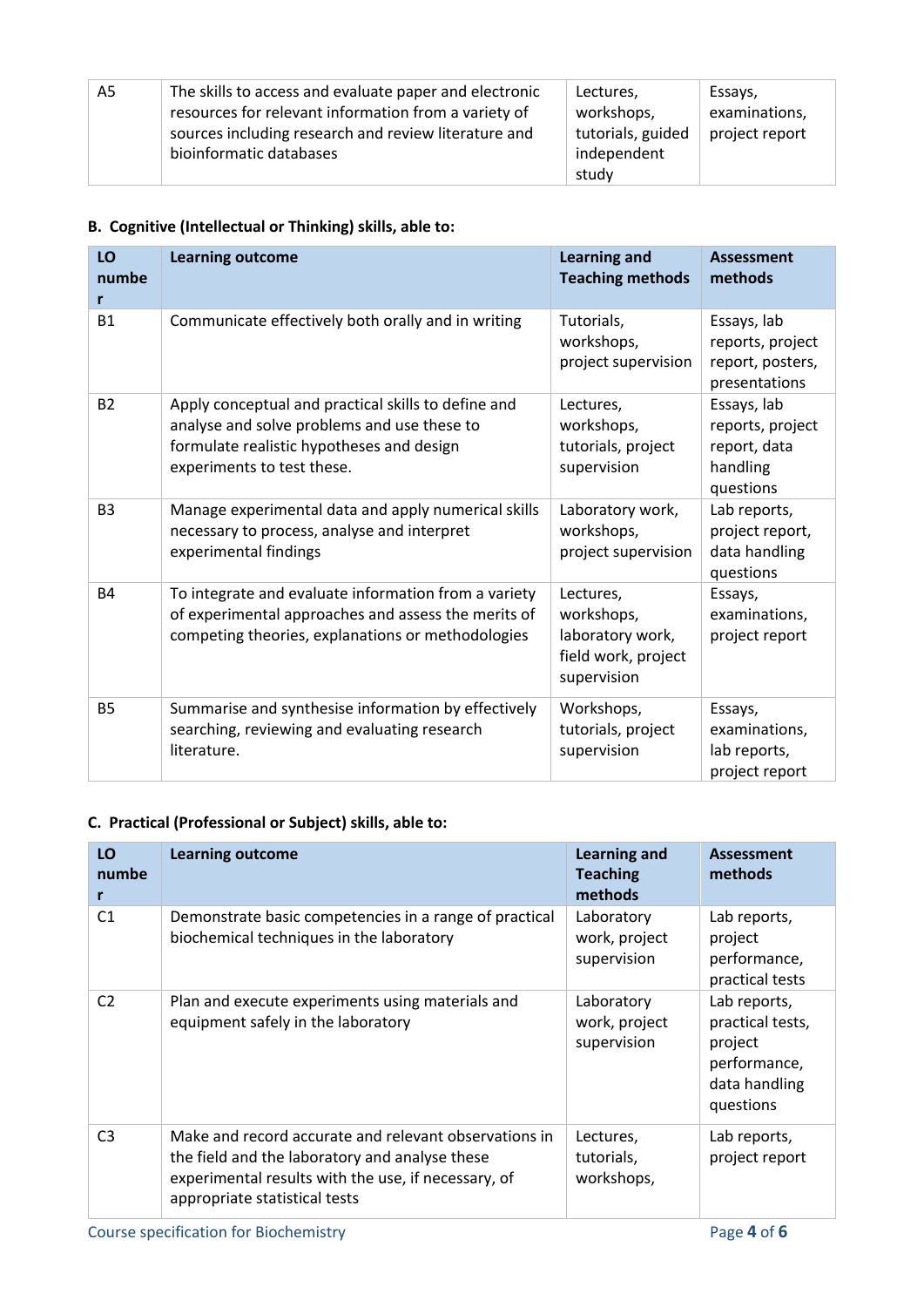| A5 | The skills to access and evaluate paper and electronic<br>resources for relevant information from a variety of<br>sources including research and review literature and<br>bioinformatic databases | Lectures,<br>workshops,<br>tutorials, guided<br>independent | Essays,<br>examinations,<br>project report |
|----|---------------------------------------------------------------------------------------------------------------------------------------------------------------------------------------------------|-------------------------------------------------------------|--------------------------------------------|
|    |                                                                                                                                                                                                   | study                                                       |                                            |

## **B. Cognitive (Intellectual or Thinking) skills, able to:**

| LO<br>numbe<br>r | <b>Learning outcome</b>                                                                                                                                                       | <b>Learning and</b><br><b>Teaching methods</b>                                    | <b>Assessment</b><br>methods                                             |
|------------------|-------------------------------------------------------------------------------------------------------------------------------------------------------------------------------|-----------------------------------------------------------------------------------|--------------------------------------------------------------------------|
| <b>B1</b>        | Communicate effectively both orally and in writing                                                                                                                            | Tutorials,<br>workshops,<br>project supervision                                   | Essays, lab<br>reports, project<br>report, posters,<br>presentations     |
| <b>B2</b>        | Apply conceptual and practical skills to define and<br>analyse and solve problems and use these to<br>formulate realistic hypotheses and design<br>experiments to test these. | Lectures,<br>workshops,<br>tutorials, project<br>supervision                      | Essays, lab<br>reports, project<br>report, data<br>handling<br>questions |
| B <sub>3</sub>   | Manage experimental data and apply numerical skills<br>necessary to process, analyse and interpret<br>experimental findings                                                   | Laboratory work,<br>workshops,<br>project supervision                             | Lab reports,<br>project report,<br>data handling<br>questions            |
| <b>B4</b>        | To integrate and evaluate information from a variety<br>of experimental approaches and assess the merits of<br>competing theories, explanations or methodologies              | Lectures,<br>workshops,<br>laboratory work,<br>field work, project<br>supervision | Essays,<br>examinations,<br>project report                               |
| <b>B5</b>        | Summarise and synthesise information by effectively<br>searching, reviewing and evaluating research<br>literature.                                                            | Workshops,<br>tutorials, project<br>supervision                                   | Essays,<br>examinations,<br>lab reports,<br>project report               |

## **C. Practical (Professional or Subject) skills, able to:**

| LO<br>numbe<br>r | <b>Learning outcome</b>                                                                                                                                                                         | <b>Learning and</b><br><b>Teaching</b><br>methods | Assessment<br>methods                                                                     |
|------------------|-------------------------------------------------------------------------------------------------------------------------------------------------------------------------------------------------|---------------------------------------------------|-------------------------------------------------------------------------------------------|
| C <sub>1</sub>   | Demonstrate basic competencies in a range of practical<br>biochemical techniques in the laboratory                                                                                              | Laboratory<br>work, project<br>supervision        | Lab reports,<br>project<br>performance,<br>practical tests                                |
| C <sub>2</sub>   | Plan and execute experiments using materials and<br>equipment safely in the laboratory                                                                                                          | Laboratory<br>work, project<br>supervision        | Lab reports,<br>practical tests,<br>project<br>performance,<br>data handling<br>questions |
| C <sub>3</sub>   | Make and record accurate and relevant observations in<br>the field and the laboratory and analyse these<br>experimental results with the use, if necessary, of<br>appropriate statistical tests | Lectures,<br>tutorials,<br>workshops,             | Lab reports,<br>project report                                                            |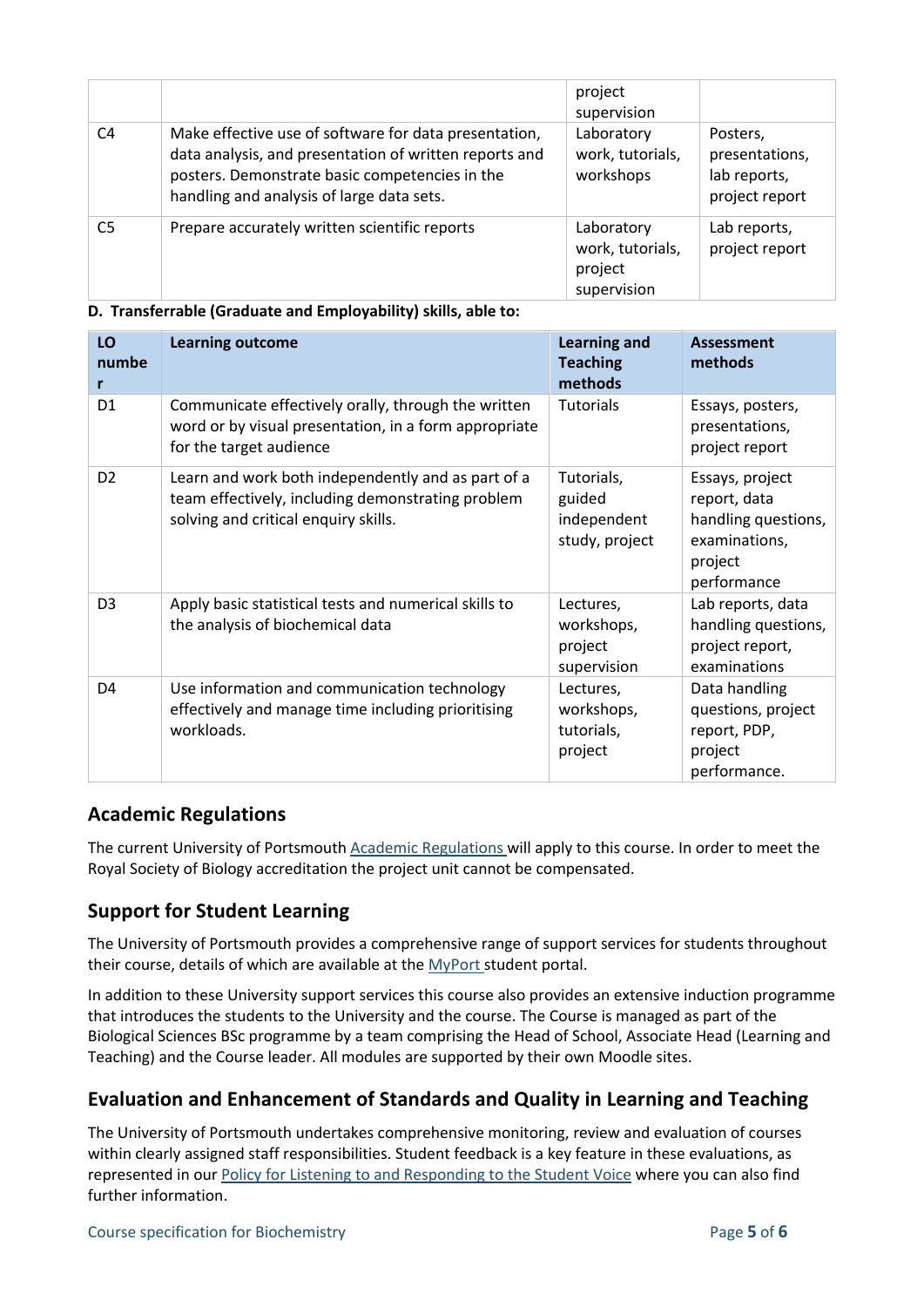|                |                                                                                                                                                                                                                | project<br>supervision                                   |                                                              |
|----------------|----------------------------------------------------------------------------------------------------------------------------------------------------------------------------------------------------------------|----------------------------------------------------------|--------------------------------------------------------------|
| C <sub>4</sub> | Make effective use of software for data presentation,<br>data analysis, and presentation of written reports and<br>posters. Demonstrate basic competencies in the<br>handling and analysis of large data sets. | Laboratory<br>work, tutorials,<br>workshops              | Posters,<br>presentations,<br>lab reports,<br>project report |
| C <sub>5</sub> | Prepare accurately written scientific reports                                                                                                                                                                  | Laboratory<br>work, tutorials,<br>project<br>supervision | Lab reports,<br>project report                               |

#### **D. Transferrable (Graduate and Employability) skills, able to:**

| LO<br>numbe<br>r | <b>Learning outcome</b>                                                                                                                         | <b>Learning and</b><br><b>Teaching</b><br>methods     | <b>Assessment</b><br>methods                                                                      |
|------------------|-------------------------------------------------------------------------------------------------------------------------------------------------|-------------------------------------------------------|---------------------------------------------------------------------------------------------------|
| D <sub>1</sub>   | Communicate effectively orally, through the written<br>word or by visual presentation, in a form appropriate<br>for the target audience         | <b>Tutorials</b>                                      | Essays, posters,<br>presentations,<br>project report                                              |
| D <sub>2</sub>   | Learn and work both independently and as part of a<br>team effectively, including demonstrating problem<br>solving and critical enquiry skills. | Tutorials,<br>guided<br>independent<br>study, project | Essays, project<br>report, data<br>handling questions,<br>examinations,<br>project<br>performance |
| D <sub>3</sub>   | Apply basic statistical tests and numerical skills to<br>the analysis of biochemical data                                                       | Lectures,<br>workshops,<br>project<br>supervision     | Lab reports, data<br>handling questions,<br>project report,<br>examinations                       |
| D <sub>4</sub>   | Use information and communication technology<br>effectively and manage time including prioritising<br>workloads.                                | Lectures,<br>workshops,<br>tutorials,<br>project      | Data handling<br>questions, project<br>report, PDP,<br>project<br>performance.                    |

## **Academic Regulations**

The current University of Portsmouth [Academic Regulations](http://policies.docstore.port.ac.uk/policy-107.pdf?_ga=2.44997668.1234197307.1599461794-2095434147.1584443378) will apply to this course. In order to meet the Royal Society of Biology accreditation the project unit cannot be compensated.

## **Support for Student Learning**

The University of Portsmouth provides a comprehensive range of support services for students throughout their course, details of which are available at the [MyPort](http://myport.ac.uk/) student portal.

In addition to these University support services this course also provides an extensive induction programme that introduces the students to the University and the course. The Course is managed as part of the Biological Sciences BSc programme by a team comprising the Head of School, Associate Head (Learning and Teaching) and the Course leader. All modules are supported by their own Moodle sites.

## **Evaluation and Enhancement of Standards and Quality in Learning and Teaching**

The University of Portsmouth undertakes comprehensive monitoring, review and evaluation of courses within clearly assigned staff responsibilities. Student feedback is a key feature in these evaluations, as represented in our [Policy for Listening to and Responding to the Student Voice](http://policies.docstore.port.ac.uk/policy-069.pdf) where you can also find further information.